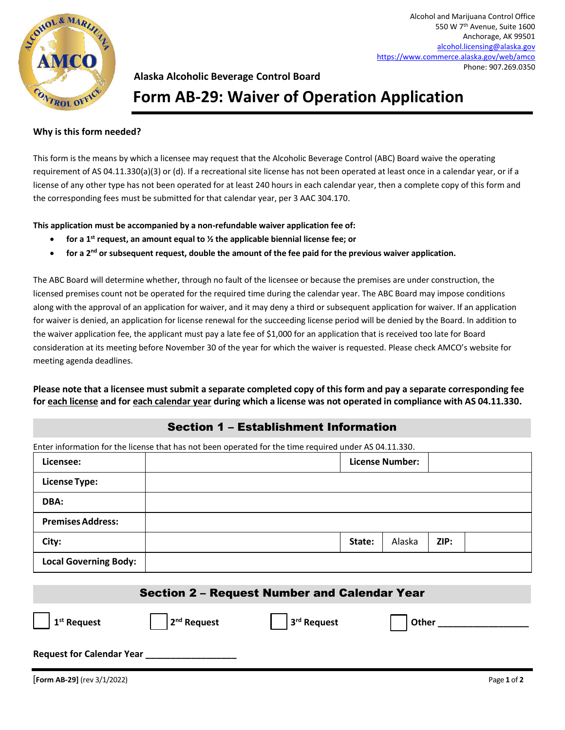

### **Alaska Alcoholic Beverage Control Board**

## **Form AB-29: Waiver of Operation Application**

#### **Why is this form needed?**

This form is the means by which a licensee may request that the Alcoholic Beverage Control (ABC) Board waive the operating requirement of AS 04.11.330(a)(3) or (d). If a recreational site license has not been operated at least once in a calendar year, or if a license of any other type has not been operated for at least 240 hours in each calendar year, then a complete copy of this form and the corresponding fees must be submitted for that calendar year, per 3 AAC 304.170.

**This application must be accompanied by a non-refundable waiver application fee of:** 

- **for a 1st request, an amount equal to ½ the applicable biennial license fee; or**
- **for a 2nd or subsequent request, double the amount of the fee paid for the previous waiver application.**

The ABC Board will determine whether, through no fault of the licensee or because the premises are under construction, the licensed premises count not be operated for the required time during the calendar year. The ABC Board may impose conditions along with the approval of an application for waiver, and it may deny a third or subsequent application for waiver. If an application for waiver is denied, an application for license renewal for the succeeding license period will be denied by the Board. In addition to the waiver application fee, the applicant must pay a late fee of \$1,000 for an application that is received too late for Board consideration at its meeting before November 30 of the year for which the waiver is requested. Please check AMCO's website for meeting agenda deadlines.

**Please note that a licensee must submit a separate completed copy of this form and pay a separate corresponding fee for each license and for each calendar year during which a license was not operated in compliance with AS 04.11.330.**

### Section 1 – Establishment Information

Enter information for the license that has not been operated for the time required under AS 04.11.330.

| Licensee:                    |        | <b>License Number:</b> |      |  |  |  |
|------------------------------|--------|------------------------|------|--|--|--|
| <b>License Type:</b>         |        |                        |      |  |  |  |
| DBA:                         |        |                        |      |  |  |  |
| <b>Premises Address:</b>     |        |                        |      |  |  |  |
| City:                        | State: | Alaska                 | ZIP: |  |  |  |
| <b>Local Governing Body:</b> |        |                        |      |  |  |  |

| <b>Section 2 - Request Number and Calendar Year</b> |               |             |       |  |  |  |
|-----------------------------------------------------|---------------|-------------|-------|--|--|--|
| $\vert$ 1 <sup>st</sup> Request                     | $2nd$ Request | 3rd Request | Other |  |  |  |
| <b>Request for Calendar Year</b>                    |               |             |       |  |  |  |